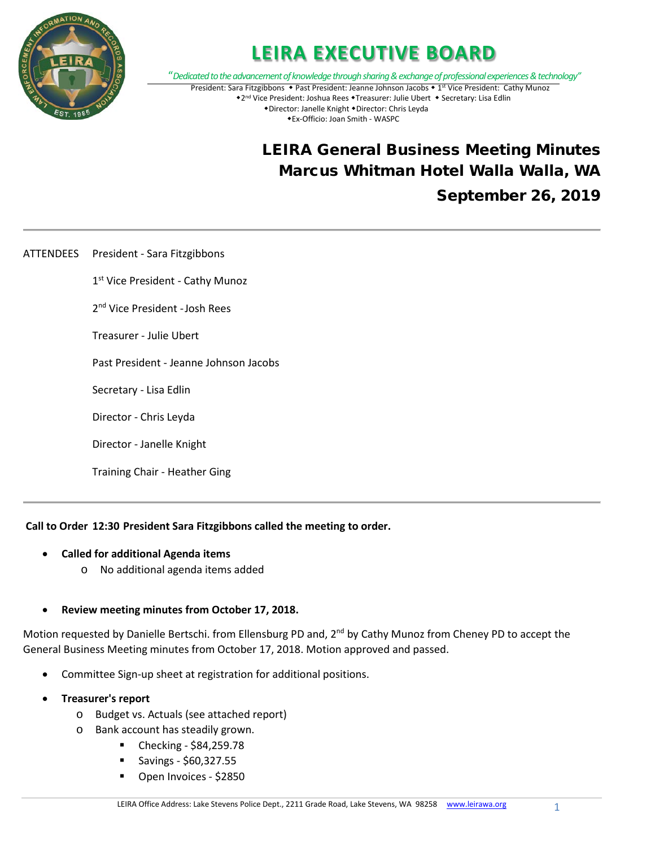

### **LEIRA EXECUTIVE BOARD**

"*Dedicated to the advancement of knowledge through sharing & exchange of professional experiences & technology"* President: Sara Fitzgibbons • Past President: Jeanne Johnson Jacobs • 1st Vice President: Cathy Munoz \*2<sup>nd</sup> Vice President: Joshua Rees \*Treasurer: Julie Ubert \* Secretary: Lisa Edlin \*Director: Janelle Knight \*Director: Chris Leyda Ex-Officio: Joan Smith - WASPC

### LEIRA General Business Meeting Minutes Marcus Whitman Hotel Walla Walla, WA September 26, 2019

ATTENDEES President - Sara Fitzgibbons

1<sup>st</sup> Vice President - Cathy Munoz

2nd Vice President -Josh Rees

Treasurer - Julie Ubert

Past President - Jeanne Johnson Jacobs

Secretary - Lisa Edlin

Director - Chris Leyda

Director - Janelle Knight

Training Chair - Heather Ging

**Call to Order 12:30 President Sara Fitzgibbons called the meeting to order.**

- **Called for additional Agenda items** 
	- o No additional agenda items added

#### • **Review meeting minutes from October 17, 2018.**

Motion requested by Danielle Bertschi. from Ellensburg PD and, 2<sup>nd</sup> by Cathy Munoz from Cheney PD to accept the General Business Meeting minutes from October 17, 2018. Motion approved and passed.

- Committee Sign-up sheet at registration for additional positions.
- **Treasurer's report**
	- o Budget vs. Actuals (see attached report)
	- o Bank account has steadily grown.
		- Checking \$84,259.78
		- Savings \$60,327.55
		- Open Invoices \$2850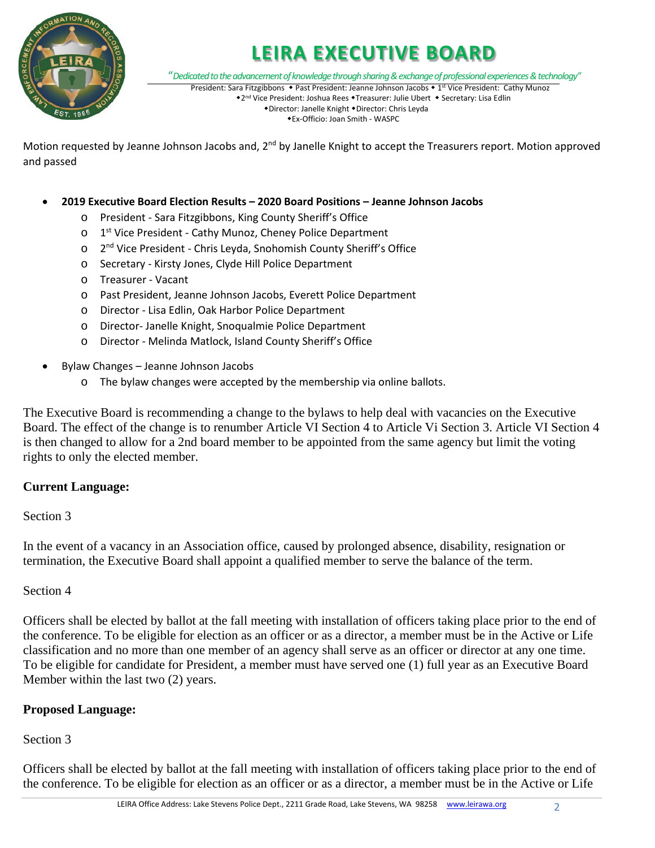

# **LEIRA EXECUTIVE BOARD**

"*Dedicated to the advancement of knowledge through sharing & exchange of professional experiences & technology"*

President: Sara Fitzgibbons • Past President: Jeanne Johnson Jacobs • 1st Vice President: Cathy Munoz \*2<sup>nd</sup> Vice President: Joshua Rees \*Treasurer: Julie Ubert \* Secretary: Lisa Edlin \*Director: Janelle Knight \*Director: Chris Leyda

Ex-Officio: Joan Smith - WASPC

Motion requested by Jeanne Johnson Jacobs and, 2<sup>nd</sup> by Janelle Knight to accept the Treasurers report. Motion approved and passed

#### • **2019 Executive Board Election Results – 2020 Board Positions – Jeanne Johnson Jacobs**

- o President Sara Fitzgibbons, King County Sheriff's Office
- o 1<sup>st</sup> Vice President Cathy Munoz, Cheney Police Department
- o 2nd Vice President Chris Leyda, Snohomish County Sheriff's Office
- o Secretary Kirsty Jones, Clyde Hill Police Department
- o Treasurer Vacant
- o Past President, Jeanne Johnson Jacobs, Everett Police Department
- o Director Lisa Edlin, Oak Harbor Police Department
- o Director- Janelle Knight, Snoqualmie Police Department
- o Director Melinda Matlock, Island County Sheriff's Office
- Bylaw Changes Jeanne Johnson Jacobs
	- o The bylaw changes were accepted by the membership via online ballots.

The Executive Board is recommending a change to the bylaws to help deal with vacancies on the Executive Board. The effect of the change is to renumber Article VI Section 4 to Article Vi Section 3. Article VI Section 4 is then changed to allow for a 2nd board member to be appointed from the same agency but limit the voting rights to only the elected member.

### **Current Language:**

### Section 3

In the event of a vacancy in an Association office, caused by prolonged absence, disability, resignation or termination, the Executive Board shall appoint a qualified member to serve the balance of the term.

### Section 4

Officers shall be elected by ballot at the fall meeting with installation of officers taking place prior to the end of the conference. To be eligible for election as an officer or as a director, a member must be in the Active or Life classification and no more than one member of an agency shall serve as an officer or director at any one time. To be eligible for candidate for President, a member must have served one (1) full year as an Executive Board Member within the last two (2) years.

### **Proposed Language:**

### Section 3

Officers shall be elected by ballot at the fall meeting with installation of officers taking place prior to the end of the conference. To be eligible for election as an officer or as a director, a member must be in the Active or Life